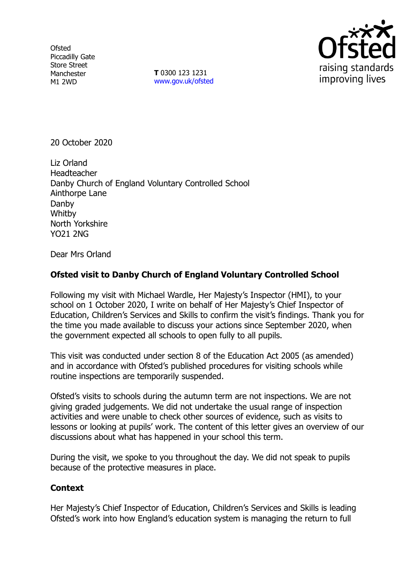**Ofsted** Piccadilly Gate Store Street Manchester M1 2WD

**T** 0300 123 1231 [www.gov.uk/ofsted](http://www.gov.uk/ofsted)



20 October 2020

Liz Orland Headteacher Danby Church of England Voluntary Controlled School Ainthorpe Lane Danby Whitby North Yorkshire YO21 2NG

Dear Mrs Orland

## **Ofsted visit to Danby Church of England Voluntary Controlled School**

Following my visit with Michael Wardle, Her Majesty's Inspector (HMI), to your school on 1 October 2020, I write on behalf of Her Majesty's Chief Inspector of Education, Children's Services and Skills to confirm the visit's findings. Thank you for the time you made available to discuss your actions since September 2020, when the government expected all schools to open fully to all pupils.

This visit was conducted under section 8 of the Education Act 2005 (as amended) and in accordance with Ofsted's published procedures for visiting schools while routine inspections are temporarily suspended.

Ofsted's visits to schools during the autumn term are not inspections. We are not giving graded judgements. We did not undertake the usual range of inspection activities and were unable to check other sources of evidence, such as visits to lessons or looking at pupils' work. The content of this letter gives an overview of our discussions about what has happened in your school this term.

During the visit, we spoke to you throughout the day. We did not speak to pupils because of the protective measures in place.

## **Context**

Her Majesty's Chief Inspector of Education, Children's Services and Skills is leading Ofsted's work into how England's education system is managing the return to full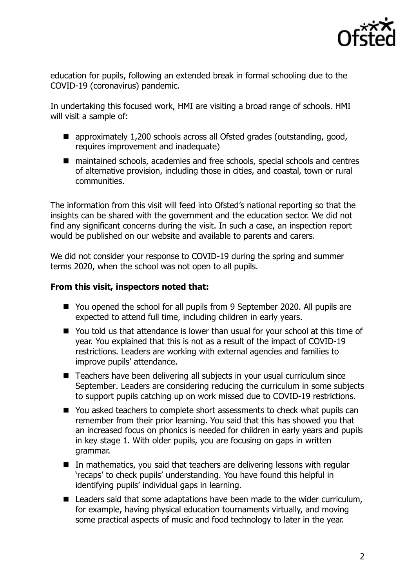

education for pupils, following an extended break in formal schooling due to the COVID-19 (coronavirus) pandemic.

In undertaking this focused work, HMI are visiting a broad range of schools. HMI will visit a sample of:

- approximately 1,200 schools across all Ofsted grades (outstanding, good, requires improvement and inadequate)
- maintained schools, academies and free schools, special schools and centres of alternative provision, including those in cities, and coastal, town or rural communities.

The information from this visit will feed into Ofsted's national reporting so that the insights can be shared with the government and the education sector. We did not find any significant concerns during the visit. In such a case, an inspection report would be published on our website and available to parents and carers.

We did not consider your response to COVID-19 during the spring and summer terms 2020, when the school was not open to all pupils.

## **From this visit, inspectors noted that:**

- You opened the school for all pupils from 9 September 2020. All pupils are expected to attend full time, including children in early years.
- You told us that attendance is lower than usual for your school at this time of year. You explained that this is not as a result of the impact of COVID-19 restrictions. Leaders are working with external agencies and families to improve pupils' attendance.
- Teachers have been delivering all subjects in your usual curriculum since September. Leaders are considering reducing the curriculum in some subjects to support pupils catching up on work missed due to COVID-19 restrictions.
- You asked teachers to complete short assessments to check what pupils can remember from their prior learning. You said that this has showed you that an increased focus on phonics is needed for children in early years and pupils in key stage 1. With older pupils, you are focusing on gaps in written grammar.
- In mathematics, you said that teachers are delivering lessons with regular 'recaps' to check pupils' understanding. You have found this helpful in identifying pupils' individual gaps in learning.
- Leaders said that some adaptations have been made to the wider curriculum, for example, having physical education tournaments virtually, and moving some practical aspects of music and food technology to later in the year.